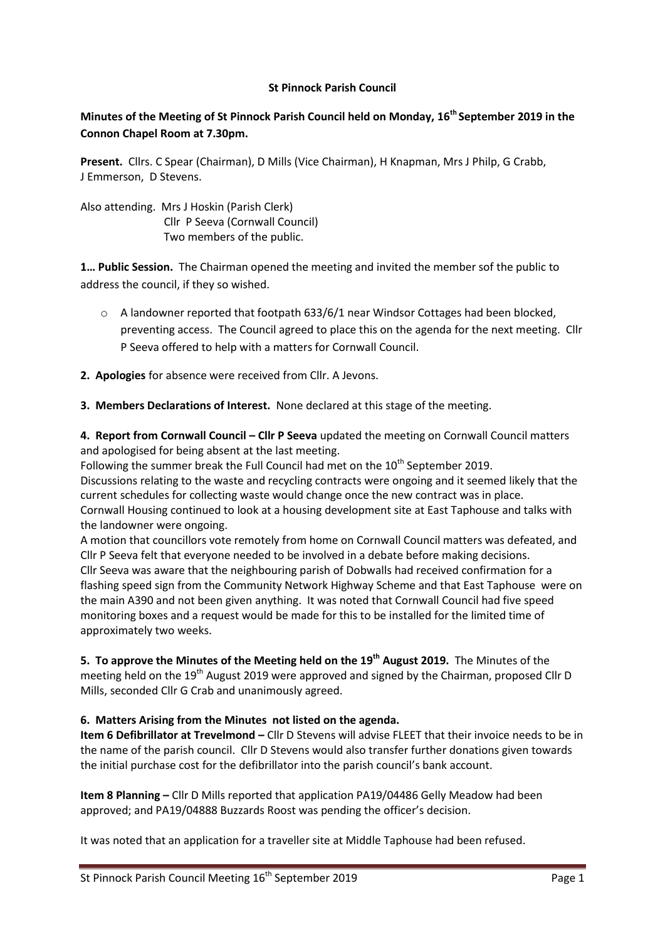#### **St Pinnock Parish Council**

# **Minutes of the Meeting of St Pinnock Parish Council held on Monday, 16th September 2019 in the Connon Chapel Room at 7.30pm.**

**Present.** Cllrs. C Spear (Chairman), D Mills (Vice Chairman), H Knapman, Mrs J Philp, G Crabb, J Emmerson, D Stevens.

Also attending. Mrs J Hoskin (Parish Clerk) Cllr P Seeva (Cornwall Council) Two members of the public.

**1… Public Session.** The Chairman opened the meeting and invited the member sof the public to address the council, if they so wished.

- $\circ$  A landowner reported that footpath 633/6/1 near Windsor Cottages had been blocked. preventing access. The Council agreed to place this on the agenda for the next meeting. Cllr P Seeva offered to help with a matters for Cornwall Council.
- **2. Apologies** for absence were received from Cllr. A Jevons.
- **3. Members Declarations of Interest.** None declared at this stage of the meeting.

**4. Report from Cornwall Council – Cllr P Seeva** updated the meeting on Cornwall Council matters and apologised for being absent at the last meeting.

Following the summer break the Full Council had met on the  $10^{th}$  September 2019. Discussions relating to the waste and recycling contracts were ongoing and it seemed likely that the current schedules for collecting waste would change once the new contract was in place. Cornwall Housing continued to look at a housing development site at East Taphouse and talks with the landowner were ongoing.

A motion that councillors vote remotely from home on Cornwall Council matters was defeated, and Cllr P Seeva felt that everyone needed to be involved in a debate before making decisions. Cllr Seeva was aware that the neighbouring parish of Dobwalls had received confirmation for a flashing speed sign from the Community Network Highway Scheme and that East Taphouse were on the main A390 and not been given anything. It was noted that Cornwall Council had five speed monitoring boxes and a request would be made for this to be installed for the limited time of approximately two weeks.

**5. To approve the Minutes of the Meeting held on the 19th August 2019.** The Minutes of the meeting held on the 19<sup>th</sup> August 2019 were approved and signed by the Chairman, proposed Cllr D Mills, seconded Cllr G Crab and unanimously agreed.

## **6. Matters Arising from the Minutes not listed on the agenda.**

**Item 6 Defibrillator at Trevelmond –** Cllr D Stevens will advise FLEET that their invoice needs to be in the name of the parish council. Cllr D Stevens would also transfer further donations given towards the initial purchase cost for the defibrillator into the parish council's bank account.

**Item 8 Planning –** Cllr D Mills reported that application PA19/04486 Gelly Meadow had been approved; and PA19/04888 Buzzards Roost was pending the officer's decision.

It was noted that an application for a traveller site at Middle Taphouse had been refused.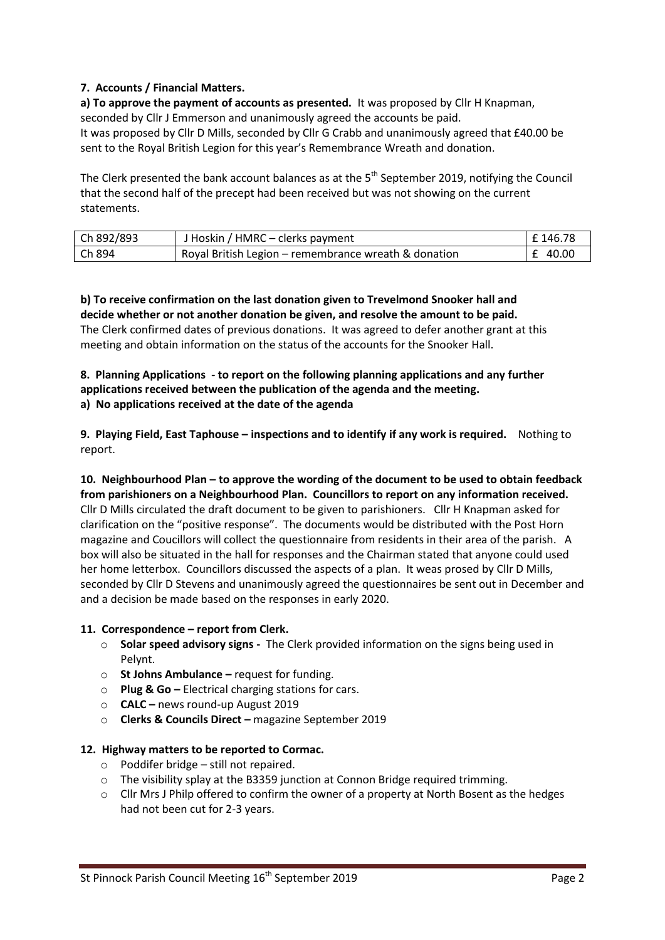## **7. Accounts / Financial Matters.**

**a) To approve the payment of accounts as presented.** It was proposed by Cllr H Knapman, seconded by Cllr J Emmerson and unanimously agreed the accounts be paid. It was proposed by Cllr D Mills, seconded by Cllr G Crabb and unanimously agreed that £40.00 be sent to the Royal British Legion for this year's Remembrance Wreath and donation.

The Clerk presented the bank account balances as at the 5<sup>th</sup> September 2019, notifying the Council that the second half of the precept had been received but was not showing on the current statements.

| Ch 892/893 | J Hoskin / HMRC – clerks payment                     | l £ 146.78 |
|------------|------------------------------------------------------|------------|
| Ch 894     | Royal British Legion – remembrance wreath & donation | £ 40.00    |

**b) To receive confirmation on the last donation given to Trevelmond Snooker hall and decide whether or not another donation be given, and resolve the amount to be paid.** The Clerk confirmed dates of previous donations. It was agreed to defer another grant at this meeting and obtain information on the status of the accounts for the Snooker Hall.

#### **8. Planning Applications - to report on the following planning applications and any further applications received between the publication of the agenda and the meeting. a) No applications received at the date of the agenda**

**9. Playing Field, East Taphouse – inspections and to identify if any work is required.** Nothing to report.

**10. Neighbourhood Plan – to approve the wording of the document to be used to obtain feedback from parishioners on a Neighbourhood Plan. Councillors to report on any information received.** Cllr D Mills circulated the draft document to be given to parishioners. Cllr H Knapman asked for clarification on the "positive response". The documents would be distributed with the Post Horn magazine and Coucillors will collect the questionnaire from residents in their area of the parish. A box will also be situated in the hall for responses and the Chairman stated that anyone could used her home letterbox. Councillors discussed the aspects of a plan. It weas prosed by Cllr D Mills, seconded by Cllr D Stevens and unanimously agreed the questionnaires be sent out in December and and a decision be made based on the responses in early 2020.

## **11. Correspondence – report from Clerk.**

- o **Solar speed advisory signs** The Clerk provided information on the signs being used in Pelynt.
- o **St Johns Ambulance –** request for funding.
- o **Plug & Go –** Electrical charging stations for cars.
- o **CALC –** news round-up August 2019
- o **Clerks & Councils Direct –** magazine September 2019

## **12. Highway matters to be reported to Cormac.**

- $\circ$  Poddifer bridge still not repaired.
- $\circ$  The visibility splay at the B3359 junction at Connon Bridge required trimming.
- $\circ$  Cllr Mrs J Philp offered to confirm the owner of a property at North Bosent as the hedges had not been cut for 2-3 years.